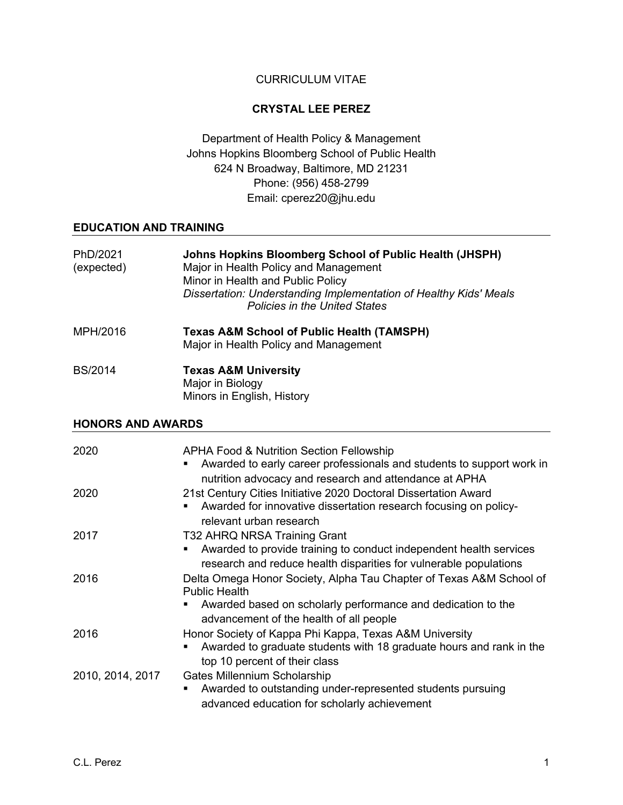## CURRICULUM VITAE

## **CRYSTAL LEE PEREZ**

Department of Health Policy & Management Johns Hopkins Bloomberg School of Public Health 624 N Broadway, Baltimore, MD 21231 Phone: (956) 458-2799 Email: cperez20@jhu.edu

#### **EDUCATION AND TRAINING**

| PhD/2021<br>(expected) | Johns Hopkins Bloomberg School of Public Health (JHSPH)<br>Major in Health Policy and Management<br>Minor in Health and Public Policy<br>Dissertation: Understanding Implementation of Healthy Kids' Meals<br><b>Policies in the United States</b> |
|------------------------|----------------------------------------------------------------------------------------------------------------------------------------------------------------------------------------------------------------------------------------------------|
| MPH/2016               | <b>Texas A&amp;M School of Public Health (TAMSPH)</b><br>Major in Health Policy and Management                                                                                                                                                     |
| <b>BS/2014</b>         | <b>Texas A&amp;M University</b><br>Major in Biology                                                                                                                                                                                                |

Minors in English, History

#### **HONORS AND AWARDS**

| 2020             | <b>APHA Food &amp; Nutrition Section Fellowship</b><br>Awarded to early career professionals and students to support work in<br>nutrition advocacy and research and attendance at APHA                 |
|------------------|--------------------------------------------------------------------------------------------------------------------------------------------------------------------------------------------------------|
| 2020             | 21st Century Cities Initiative 2020 Doctoral Dissertation Award<br>Awarded for innovative dissertation research focusing on policy-<br>relevant urban research                                         |
| 2017             | T32 AHRQ NRSA Training Grant<br>Awarded to provide training to conduct independent health services<br>research and reduce health disparities for vulnerable populations                                |
| 2016             | Delta Omega Honor Society, Alpha Tau Chapter of Texas A&M School of<br><b>Public Health</b><br>Awarded based on scholarly performance and dedication to the<br>advancement of the health of all people |
| 2016             | Honor Society of Kappa Phi Kappa, Texas A&M University<br>Awarded to graduate students with 18 graduate hours and rank in the<br>top 10 percent of their class                                         |
| 2010, 2014, 2017 | Gates Millennium Scholarship<br>Awarded to outstanding under-represented students pursuing<br>advanced education for scholarly achievement                                                             |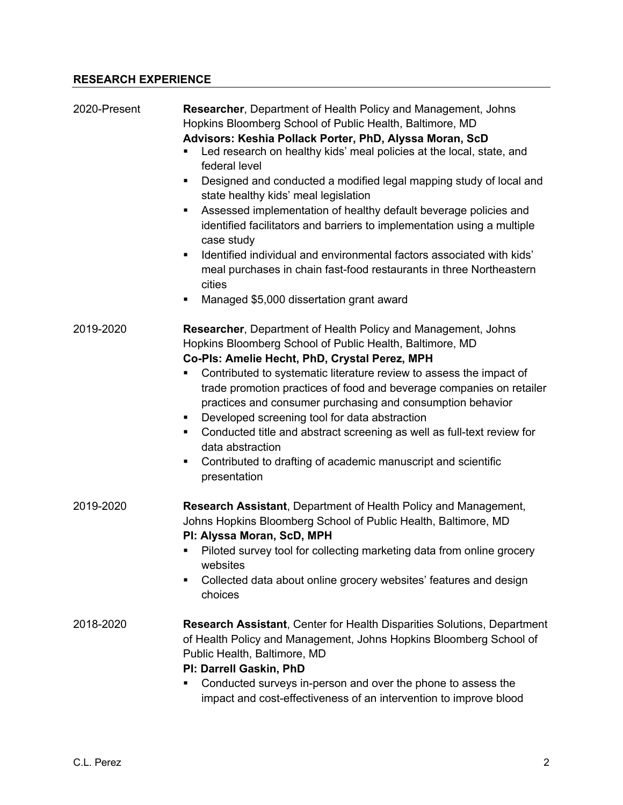# **RESEARCH EXPERIENCE**

| 2020-Present | <b>Researcher, Department of Health Policy and Management, Johns</b><br>Hopkins Bloomberg School of Public Health, Baltimore, MD<br>Advisors: Keshia Pollack Porter, PhD, Alyssa Moran, ScD<br>Led research on healthy kids' meal policies at the local, state, and<br>federal level<br>Designed and conducted a modified legal mapping study of local and<br>٠<br>state healthy kids' meal legislation<br>Assessed implementation of healthy default beverage policies and<br>identified facilitators and barriers to implementation using a multiple<br>case study<br>Identified individual and environmental factors associated with kids'<br>٠<br>meal purchases in chain fast-food restaurants in three Northeastern<br>cities<br>Managed \$5,000 dissertation grant award<br>٠ |
|--------------|--------------------------------------------------------------------------------------------------------------------------------------------------------------------------------------------------------------------------------------------------------------------------------------------------------------------------------------------------------------------------------------------------------------------------------------------------------------------------------------------------------------------------------------------------------------------------------------------------------------------------------------------------------------------------------------------------------------------------------------------------------------------------------------|
| 2019-2020    | Researcher, Department of Health Policy and Management, Johns<br>Hopkins Bloomberg School of Public Health, Baltimore, MD<br>Co-Pls: Amelie Hecht, PhD, Crystal Perez, MPH<br>Contributed to systematic literature review to assess the impact of<br>٠<br>trade promotion practices of food and beverage companies on retailer<br>practices and consumer purchasing and consumption behavior<br>Developed screening tool for data abstraction<br>Conducted title and abstract screening as well as full-text review for<br>٠<br>data abstraction<br>Contributed to drafting of academic manuscript and scientific<br>٠<br>presentation                                                                                                                                               |
| 2019-2020    | <b>Research Assistant, Department of Health Policy and Management,</b><br>Johns Hopkins Bloomberg School of Public Health, Baltimore, MD<br>PI: Alyssa Moran, ScD, MPH<br>Piloted survey tool for collecting marketing data from online grocery<br>websites<br>Collected data about online grocery websites' features and design<br>٠<br>choices                                                                                                                                                                                                                                                                                                                                                                                                                                     |
| 2018-2020    | <b>Research Assistant, Center for Health Disparities Solutions, Department</b><br>of Health Policy and Management, Johns Hopkins Bloomberg School of<br>Public Health, Baltimore, MD<br>PI: Darrell Gaskin, PhD<br>Conducted surveys in-person and over the phone to assess the<br>٠<br>impact and cost-effectiveness of an intervention to improve blood                                                                                                                                                                                                                                                                                                                                                                                                                            |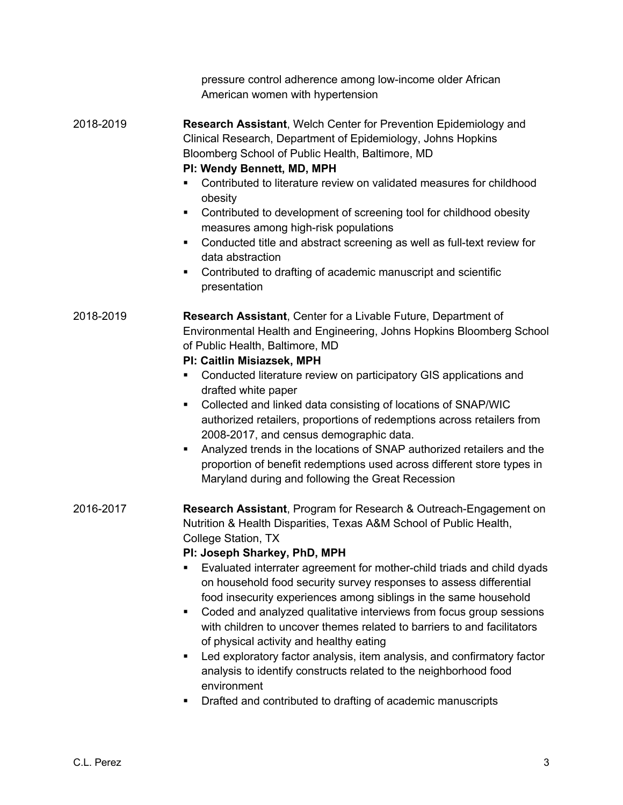|           | pressure control adherence among low-income older African<br>American women with hypertension                                                                                                                                                                                                                                                                                                                                                                                                                                                                                                                                                                                                                                                                                                                                                                    |
|-----------|------------------------------------------------------------------------------------------------------------------------------------------------------------------------------------------------------------------------------------------------------------------------------------------------------------------------------------------------------------------------------------------------------------------------------------------------------------------------------------------------------------------------------------------------------------------------------------------------------------------------------------------------------------------------------------------------------------------------------------------------------------------------------------------------------------------------------------------------------------------|
| 2018-2019 | Research Assistant, Welch Center for Prevention Epidemiology and<br>Clinical Research, Department of Epidemiology, Johns Hopkins<br>Bloomberg School of Public Health, Baltimore, MD<br>PI: Wendy Bennett, MD, MPH<br>Contributed to literature review on validated measures for childhood<br>٠<br>obesity<br>Contributed to development of screening tool for childhood obesity<br>٠<br>measures among high-risk populations<br>Conducted title and abstract screening as well as full-text review for<br>٠<br>data abstraction<br>Contributed to drafting of academic manuscript and scientific<br>٠<br>presentation                                                                                                                                                                                                                                           |
| 2018-2019 | Research Assistant, Center for a Livable Future, Department of<br>Environmental Health and Engineering, Johns Hopkins Bloomberg School<br>of Public Health, Baltimore, MD<br>PI: Caitlin Misiazsek, MPH<br>Conducted literature review on participatory GIS applications and<br>٠<br>drafted white paper<br>Collected and linked data consisting of locations of SNAP/WIC<br>٠<br>authorized retailers, proportions of redemptions across retailers from<br>2008-2017, and census demographic data.<br>Analyzed trends in the locations of SNAP authorized retailers and the<br>٠<br>proportion of benefit redemptions used across different store types in<br>Maryland during and following the Great Recession                                                                                                                                                 |
| 2016-2017 | Research Assistant, Program for Research & Outreach-Engagement on<br>Nutrition & Health Disparities, Texas A&M School of Public Health,<br>College Station, TX<br>PI: Joseph Sharkey, PhD, MPH<br>Evaluated interrater agreement for mother-child triads and child dyads<br>٠<br>on household food security survey responses to assess differential<br>food insecurity experiences among siblings in the same household<br>Coded and analyzed qualitative interviews from focus group sessions<br>٠<br>with children to uncover themes related to barriers to and facilitators<br>of physical activity and healthy eating<br>Led exploratory factor analysis, item analysis, and confirmatory factor<br>٠<br>analysis to identify constructs related to the neighborhood food<br>environment<br>Drafted and contributed to drafting of academic manuscripts<br>٠ |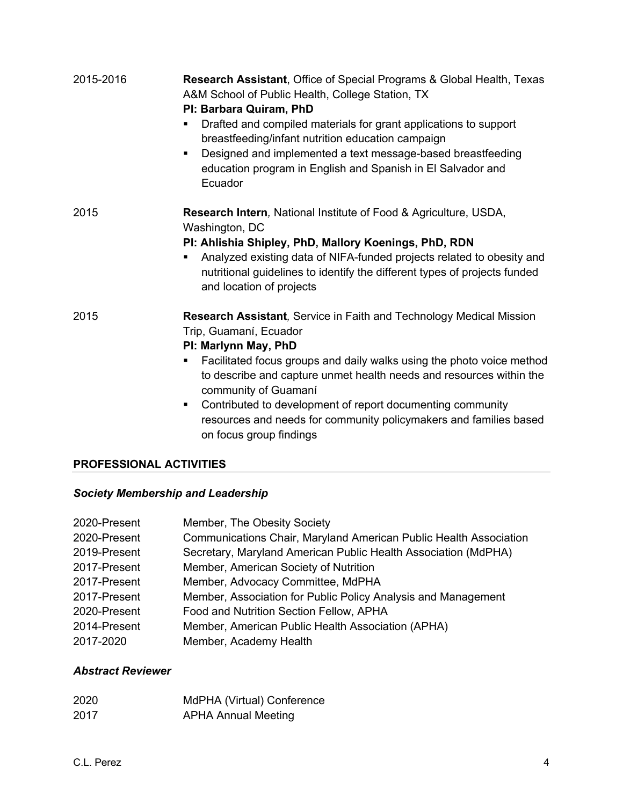| 2015-2016 | <b>Research Assistant, Office of Special Programs &amp; Global Health, Texas</b><br>A&M School of Public Health, College Station, TX<br>PI: Barbara Quiram, PhD<br>Drafted and compiled materials for grant applications to support<br>٠<br>breastfeeding/infant nutrition education campaign<br>Designed and implemented a text message-based breastfeeding<br>$\blacksquare$<br>education program in English and Spanish in El Salvador and<br>Ecuador                           |
|-----------|------------------------------------------------------------------------------------------------------------------------------------------------------------------------------------------------------------------------------------------------------------------------------------------------------------------------------------------------------------------------------------------------------------------------------------------------------------------------------------|
| 2015      | Research Intern, National Institute of Food & Agriculture, USDA,<br>Washington, DC<br>PI: Ahlishia Shipley, PhD, Mallory Koenings, PhD, RDN<br>Analyzed existing data of NIFA-funded projects related to obesity and<br>٠<br>nutritional guidelines to identify the different types of projects funded<br>and location of projects                                                                                                                                                 |
| 2015      | Research Assistant, Service in Faith and Technology Medical Mission<br>Trip, Guamaní, Ecuador<br>PI: Marlynn May, PhD<br>Facilitated focus groups and daily walks using the photo voice method<br>٠<br>to describe and capture unmet health needs and resources within the<br>community of Guamaní<br>Contributed to development of report documenting community<br>$\blacksquare$<br>resources and needs for community policymakers and families based<br>on focus group findings |

# **PROFESSIONAL ACTIVITIES**

# *Society Membership and Leadership*

| 2020-Present | Member, The Obesity Society                                       |
|--------------|-------------------------------------------------------------------|
| 2020-Present | Communications Chair, Maryland American Public Health Association |
| 2019-Present | Secretary, Maryland American Public Health Association (MdPHA)    |
| 2017-Present | Member, American Society of Nutrition                             |
| 2017-Present | Member, Advocacy Committee, MdPHA                                 |
| 2017-Present | Member, Association for Public Policy Analysis and Management     |
| 2020-Present | Food and Nutrition Section Fellow, APHA                           |
| 2014-Present | Member, American Public Health Association (APHA)                 |
| 2017-2020    | Member, Academy Health                                            |

# *Abstract Reviewer*

| 2020 | MdPHA (Virtual) Conference |
|------|----------------------------|
| 2017 | <b>APHA Annual Meeting</b> |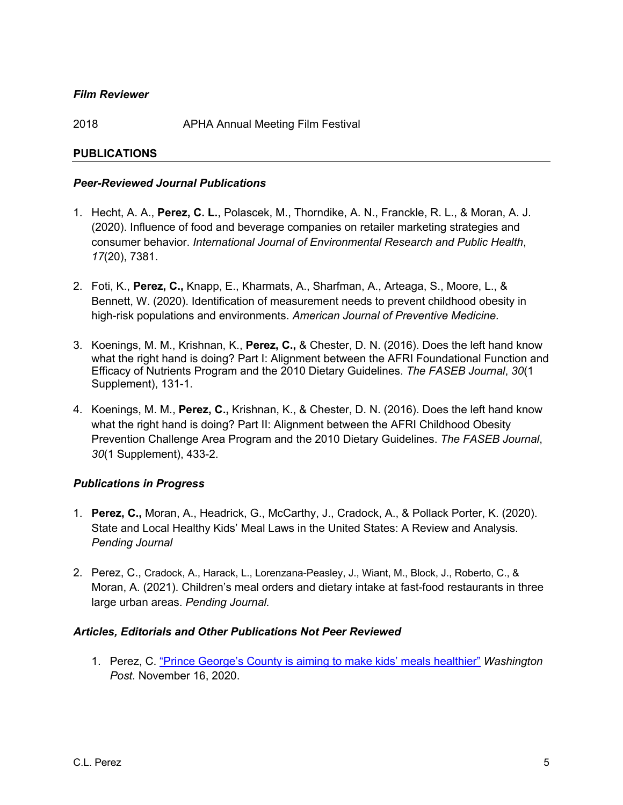### *Film Reviewer*

2018 APHA Annual Meeting Film Festival

### **PUBLICATIONS**

#### *Peer-Reviewed Journal Publications*

- 1. Hecht, A. A., **Perez, C. L.**, Polascek, M., Thorndike, A. N., Franckle, R. L., & Moran, A. J. (2020). Influence of food and beverage companies on retailer marketing strategies and consumer behavior. *International Journal of Environmental Research and Public Health*, *17*(20), 7381.
- 2. Foti, K., **Perez, C.,** Knapp, E., Kharmats, A., Sharfman, A., Arteaga, S., Moore, L., & Bennett, W. (2020). Identification of measurement needs to prevent childhood obesity in high-risk populations and environments. *American Journal of Preventive Medicine.*
- 3. Koenings, M. M., Krishnan, K., **Perez, C.,** & Chester, D. N. (2016). Does the left hand know what the right hand is doing? Part I: Alignment between the AFRI Foundational Function and Efficacy of Nutrients Program and the 2010 Dietary Guidelines. *The FASEB Journal*, *30*(1 Supplement), 131-1.
- 4. Koenings, M. M., **Perez, C.,** Krishnan, K., & Chester, D. N. (2016). Does the left hand know what the right hand is doing? Part II: Alignment between the AFRI Childhood Obesity Prevention Challenge Area Program and the 2010 Dietary Guidelines. *The FASEB Journal*, *30*(1 Supplement), 433-2.

### *Publications in Progress*

- 1. **Perez, C.,** Moran, A., Headrick, G., McCarthy, J., Cradock, A., & Pollack Porter, K. (2020). State and Local Healthy Kids' Meal Laws in the United States: A Review and Analysis. *Pending Journal*
- 2. Perez, C., Cradock, A., Harack, L., Lorenzana-Peasley, J., Wiant, M., Block, J., Roberto, C., & Moran, A. (2021). Children's meal orders and dietary intake at fast-food restaurants in three large urban areas. *Pending Journal.*

#### *Articles, Editorials and Other Publications Not Peer Reviewed*

1. Perez, C. "Prince George's County is aiming to make kids' meals healthier" *Washington Post*. November 16, 2020.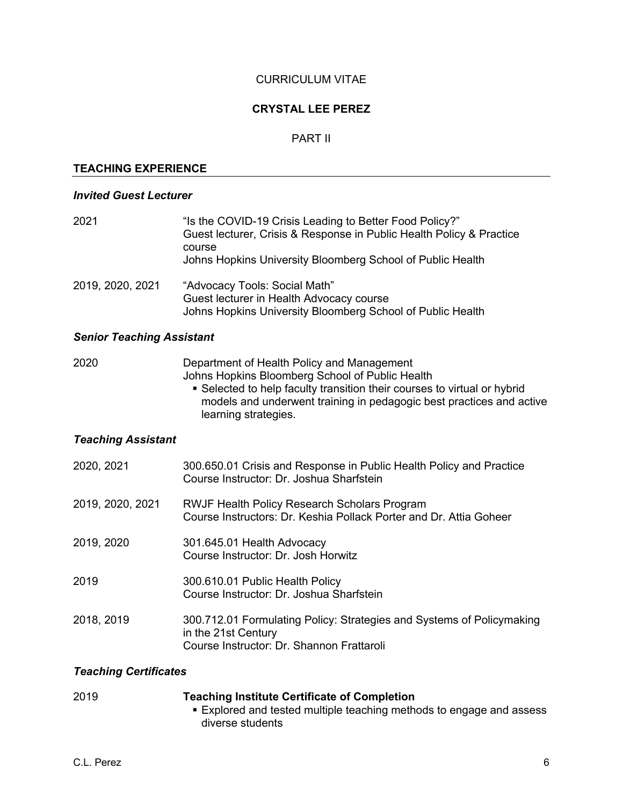### CURRICULUM VITAE

### **CRYSTAL LEE PEREZ**

#### PART II

### **TEACHING EXPERIENCE**

#### *Invited Guest Lecturer*

| 2021             | "Is the COVID-19 Crisis Leading to Better Food Policy?"<br>Guest lecturer, Crisis & Response in Public Health Policy & Practice<br>course<br>Johns Hopkins University Bloomberg School of Public Health |
|------------------|---------------------------------------------------------------------------------------------------------------------------------------------------------------------------------------------------------|
| 2019, 2020, 2021 | "Advocacy Tools: Social Math"<br>Guest lecturer in Health Advocacy course<br>Johns Hopkins University Bloomberg School of Public Health                                                                 |

#### *Senior Teaching Assistant*

2020 Department of Health Policy and Management Johns Hopkins Bloomberg School of Public Health ■ Selected to help faculty transition their courses to virtual or hybrid models and underwent training in pedagogic best practices and active learning strategies.

# *Teaching Assistant*

| 2020, 2021       | 300.650.01 Crisis and Response in Public Health Policy and Practice<br>Course Instructor: Dr. Joshua Sharfstein                           |
|------------------|-------------------------------------------------------------------------------------------------------------------------------------------|
| 2019, 2020, 2021 | <b>RWJF Health Policy Research Scholars Program</b><br>Course Instructors: Dr. Keshia Pollack Porter and Dr. Attia Goheer                 |
| 2019, 2020       | 301.645.01 Health Advocacy<br>Course Instructor: Dr. Josh Horwitz                                                                         |
| 2019             | 300.610.01 Public Health Policy<br>Course Instructor: Dr. Joshua Sharfstein                                                               |
| 2018, 2019       | 300.712.01 Formulating Policy: Strategies and Systems of Policymaking<br>in the 21st Century<br>Course Instructor: Dr. Shannon Frattaroli |

#### *Teaching Certificates*

| 2019 | <b>Teaching Institute Certificate of Completion</b>                  |
|------|----------------------------------------------------------------------|
|      | ■ Explored and tested multiple teaching methods to engage and assess |
|      | diverse students                                                     |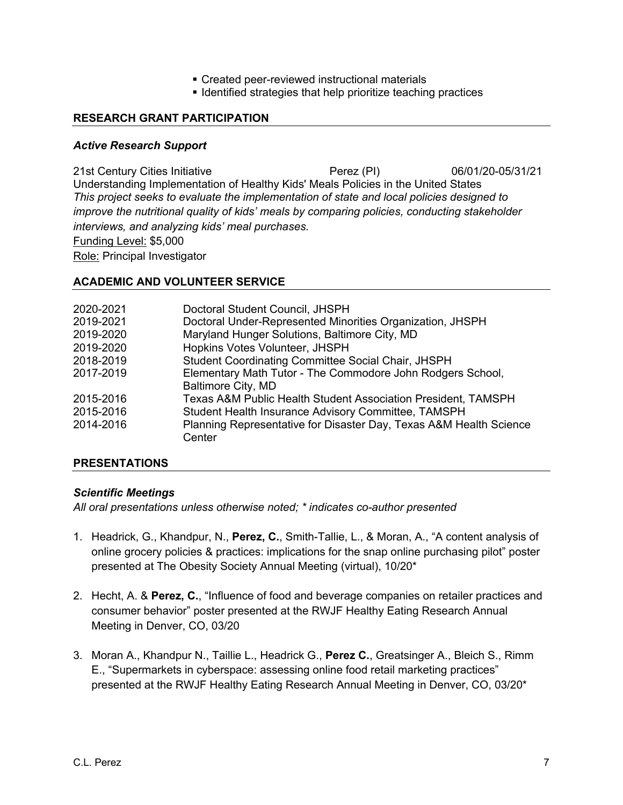- Created peer-reviewed instructional materials
- Identified strategies that help prioritize teaching practices

### **RESEARCH GRANT PARTICIPATION**

#### *Active Research Support*

21st Century Cities Initiative Perez (PI) 06/01/20-05/31/21 Understanding Implementation of Healthy Kids' Meals Policies in the United States *This project seeks to evaluate the implementation of state and local policies designed to improve the nutritional quality of kids' meals by comparing policies, conducting stakeholder interviews, and analyzing kids' meal purchases.*  Funding Level: \$5,000

Role: Principal Investigator

#### **ACADEMIC AND VOLUNTEER SERVICE**

| 2020-2021 | Doctoral Student Council, JHSPH                                          |
|-----------|--------------------------------------------------------------------------|
| 2019-2021 | Doctoral Under-Represented Minorities Organization, JHSPH                |
| 2019-2020 | Maryland Hunger Solutions, Baltimore City, MD                            |
| 2019-2020 | Hopkins Votes Volunteer, JHSPH                                           |
| 2018-2019 | <b>Student Coordinating Committee Social Chair, JHSPH</b>                |
| 2017-2019 | Elementary Math Tutor - The Commodore John Rodgers School,               |
|           | Baltimore City, MD                                                       |
| 2015-2016 | <b>Texas A&amp;M Public Health Student Association President, TAMSPH</b> |
| 2015-2016 | Student Health Insurance Advisory Committee, TAMSPH                      |
| 2014-2016 | Planning Representative for Disaster Day, Texas A&M Health Science       |
|           | Center                                                                   |
|           |                                                                          |

### **PRESENTATIONS**

### *Scientific Meetings*

*All oral presentations unless otherwise noted; \* indicates co-author presented*

- 1. Headrick, G., Khandpur, N., **Perez, C.**, Smith-Tallie, L., & Moran, A., "A content analysis of online grocery policies & practices: implications for the snap online purchasing pilot" poster presented at The Obesity Society Annual Meeting (virtual), 10/20\*
- 2. Hecht, A. & **Perez, C.**, "Influence of food and beverage companies on retailer practices and consumer behavior" poster presented at the RWJF Healthy Eating Research Annual Meeting in Denver, CO, 03/20
- 3. Moran A., Khandpur N., Taillie L., Headrick G., **Perez C.**, Greatsinger A., Bleich S., Rimm E., "Supermarkets in cyberspace: assessing online food retail marketing practices" presented at the RWJF Healthy Eating Research Annual Meeting in Denver, CO, 03/20\*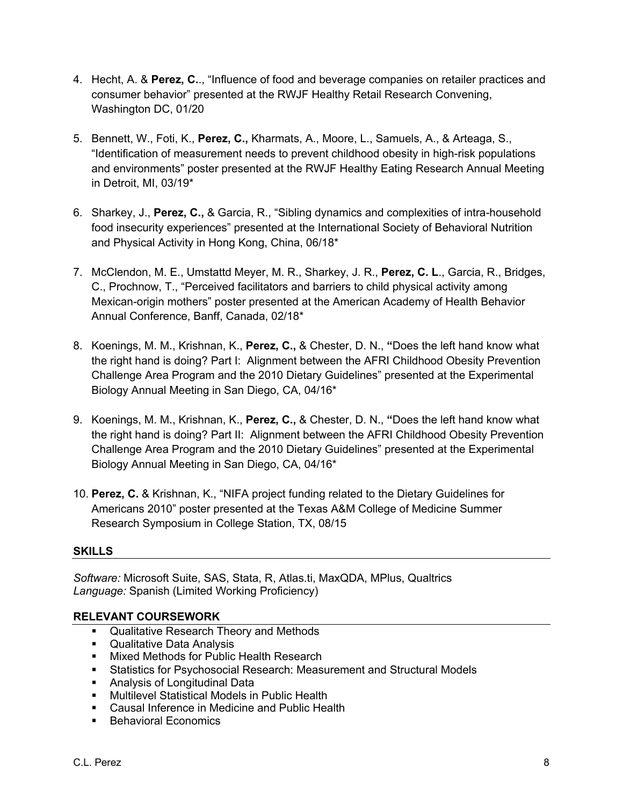- 4. Hecht, A. & **Perez, C.**., "Influence of food and beverage companies on retailer practices and consumer behavior" presented at the RWJF Healthy Retail Research Convening, Washington DC, 01/20
- 5. Bennett, W., Foti, K., **Perez, C.,** Kharmats, A., Moore, L., Samuels, A., & Arteaga, S., "Identification of measurement needs to prevent childhood obesity in high-risk populations and environments" poster presented at the RWJF Healthy Eating Research Annual Meeting in Detroit, MI, 03/19\*
- 6. Sharkey, J., **Perez, C.,** & Garcia, R., "Sibling dynamics and complexities of intra-household food insecurity experiences" presented at the International Society of Behavioral Nutrition and Physical Activity in Hong Kong, China, 06/18\*
- 7. McClendon, M. E., Umstattd Meyer, M. R., Sharkey, J. R., **Perez, C. L**., Garcia, R., Bridges, C., Prochnow, T., "Perceived facilitators and barriers to child physical activity among Mexican-origin mothers" poster presented at the American Academy of Health Behavior Annual Conference, Banff, Canada, 02/18\*
- 8. Koenings, M. M., Krishnan, K., **Perez, C.,** & Chester, D. N., **"**Does the left hand know what the right hand is doing? Part I: Alignment between the AFRI Childhood Obesity Prevention Challenge Area Program and the 2010 Dietary Guidelines" presented at the Experimental Biology Annual Meeting in San Diego, CA, 04/16\*
- 9. Koenings, M. M., Krishnan, K., **Perez, C.,** & Chester, D. N., **"**Does the left hand know what the right hand is doing? Part II: Alignment between the AFRI Childhood Obesity Prevention Challenge Area Program and the 2010 Dietary Guidelines" presented at the Experimental Biology Annual Meeting in San Diego, CA, 04/16\*
- 10. **Perez, C.** & Krishnan, K., "NIFA project funding related to the Dietary Guidelines for Americans 2010" poster presented at the Texas A&M College of Medicine Summer Research Symposium in College Station, TX, 08/15

# **SKILLS**

*Software:* Microsoft Suite, SAS, Stata, R, Atlas.ti, MaxQDA, MPlus, Qualtrics *Language:* Spanish (Limited Working Proficiency)

### **RELEVANT COURSEWORK**

- Qualitative Research Theory and Methods
- Qualitative Data Analysis
- Mixed Methods for Public Health Research
- § Statistics for Psychosocial Research: Measurement and Structural Models
- Analysis of Longitudinal Data
- Multilevel Statistical Models in Public Health
- Causal Inference in Medicine and Public Health
- Behavioral Economics